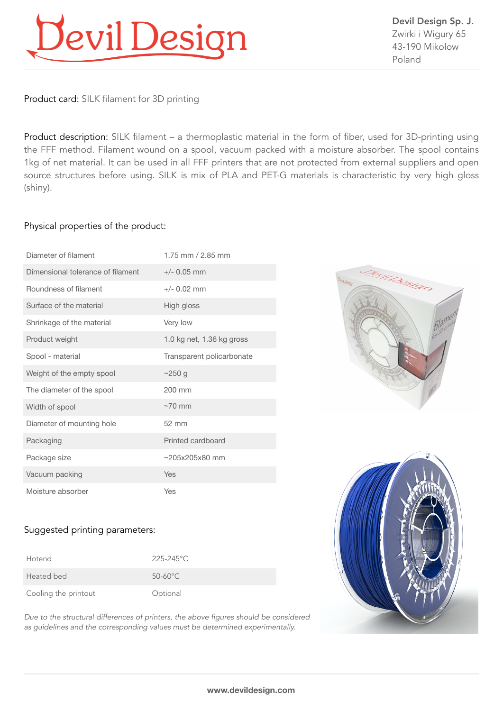# Devil Design

Devil Design Sp. J. Zwirki i Wigury 65 43-190 Mikolow Poland

Product card: SILK filament for 3D printing

Product description: SILK filament – a thermoplastic material in the form of fiber, used for 3D-printing using the FFF method. Filament wound on a spool, vacuum packed with a moisture absorber. The spool contains 1kg of net material. It can be used in all FFF printers that are not protected from external suppliers and open source structures before using. SILK is mix of PLA and PET-G materials is characteristic by very high gloss (shiny).

### Physical properties of the product:

| Diameter of filament              | 1.75 mm $/$ 2.85 mm       |
|-----------------------------------|---------------------------|
| Dimensional tolerance of filament | $+/- 0.05$ mm             |
| Roundness of filament             | $+/- 0.02$ mm             |
| Surface of the material           | High gloss                |
| Shrinkage of the material         | Very low                  |
| Product weight                    | 1.0 kg net, 1.36 kg gross |
| Spool - material                  | Transparent policarbonate |
| Weight of the empty spool         | ~250 g                    |
| The diameter of the spool         | $200 \text{ mm}$          |
| Width of spool                    | $\sim$ 70 mm              |
| Diameter of mounting hole         | $52 \, \text{mm}$         |
| Packaging                         | Printed cardboard         |
| Package size                      | $~205x205x80$ mm          |
| Vacuum packing                    | Yes                       |
| Moisture absorber                 | Yes                       |





### Suggested printing parameters:

| Hotend               | $225 - 245$ °C    |
|----------------------|-------------------|
| Heated bed           | $50-60^{\circ}$ C |
| Cooling the printout | Optional          |

*Due to the structural differences of printers, the above figures should be considered as guidelines and the corresponding values must be determined experimentally.*